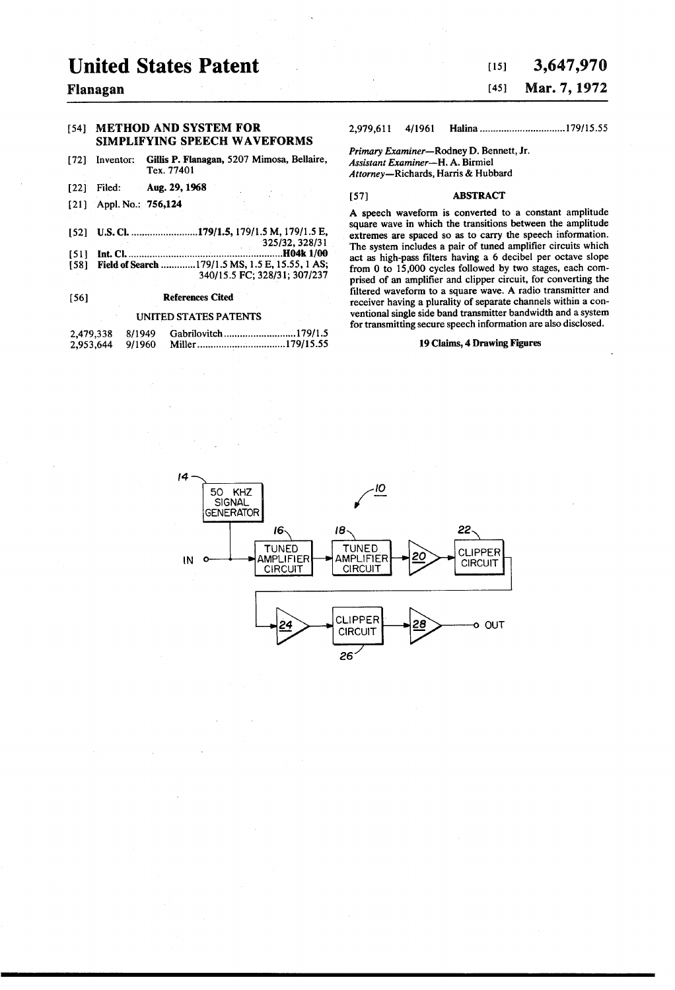# United States Patent

#### Flanagan

#### [54] METHOD AND SYSTEM FOR SIMPLEFYING SPEECH WAVEFORMS

- Gillis P. Flanagan, 5207 Mimosa, Bellaire, Tex. 7740 72) Inventor:
- 22 Filed: Aug. 29, 1968
- (21) Appl. No.: 756,124
- (52) U.S. Cl.......................... 179/15, 17911.5M, 17911.5E,
- 325/32, 328/31<br>**H04k 1/00...**
- (51 int. Cl. ..........................................................H04k 1100 58 Field of Search ............. 17911.5MS, 1.5 E, 15.55, 1 AS; 340/15.5 FC; 328/31; 307/237

#### 56) References Cited

#### UNITED STATES PATENTS

| 2,479,338 | 8/1949 | Gabrilovitch179/1.5 |
|-----------|--------|---------------------|
| 2.953.644 | 9/1960 |                     |

### 15) 3,647,970 (45) Mar. 7, 1972

#### 2,979,6ll 4/1961 Halina................................ 179/15.55

Primary Examiner-Rodney D. Bennett, Jr. Assistant Examiner-H. A. Birmiel Attorney-Richards, Harris & Hubbard

#### [57] **ABSTRACT**

A speech waveform is converted to a constant amplitude square wave in which the transitions between the amplitude extremes are spaced so as to carry the speech information. The system includes a pair of tuned amplifier circuits which act as high-pass filters having a 6 decibel per octave slope from 0 to 15,000 cycles followed by two stages, each comprised of an amplifier and clipper circuit, for converting the filtered waveform to a square wave. A radio transmitter and receiver having a plurality of separate channels within a conventional single side band transmitter bandwidth and a system for transmitting secure speech information are also disclosed.

#### 19 Claims, 4 Drawing Figures

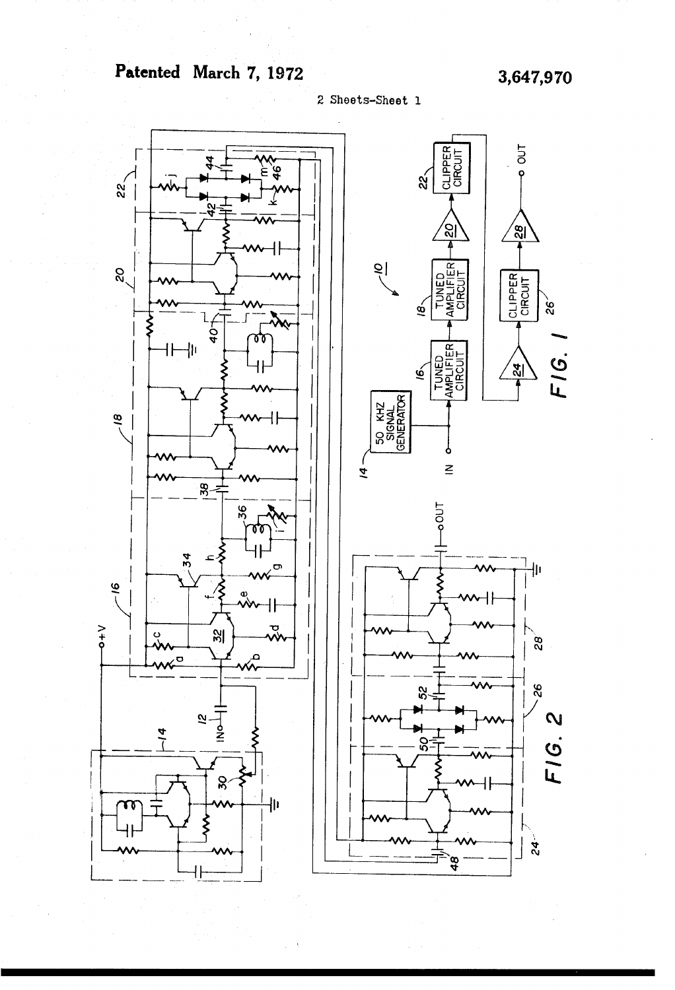# Patented March 7, 1972 3,647,970

2 Sheets-Sheet 1

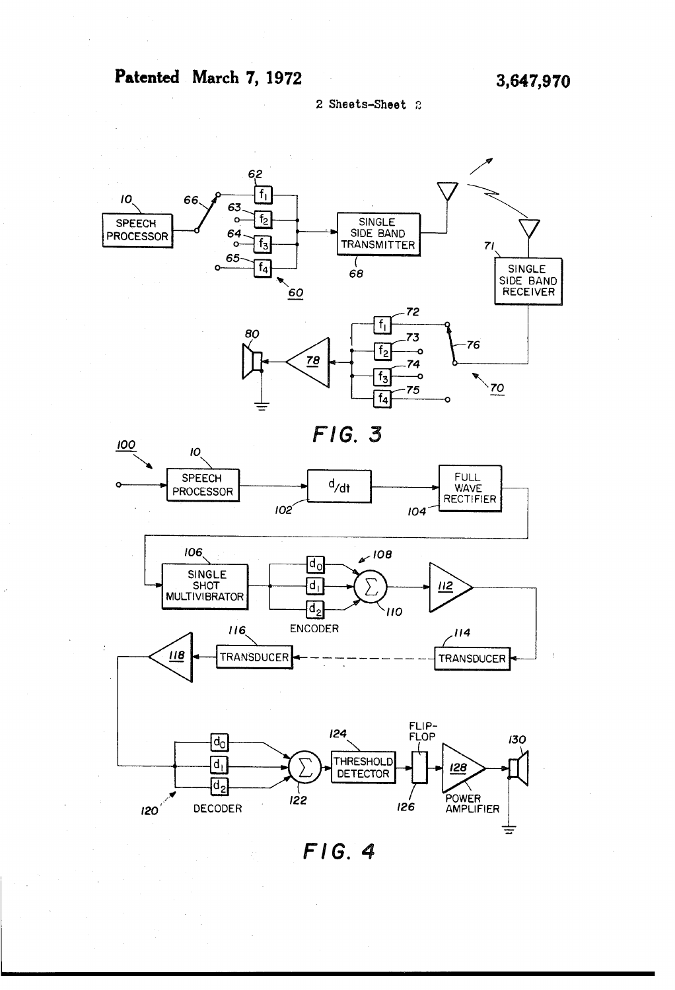# Patented March 7, 1972 3,647,970

2. Sheets-Sheet 2



 $FIG.4$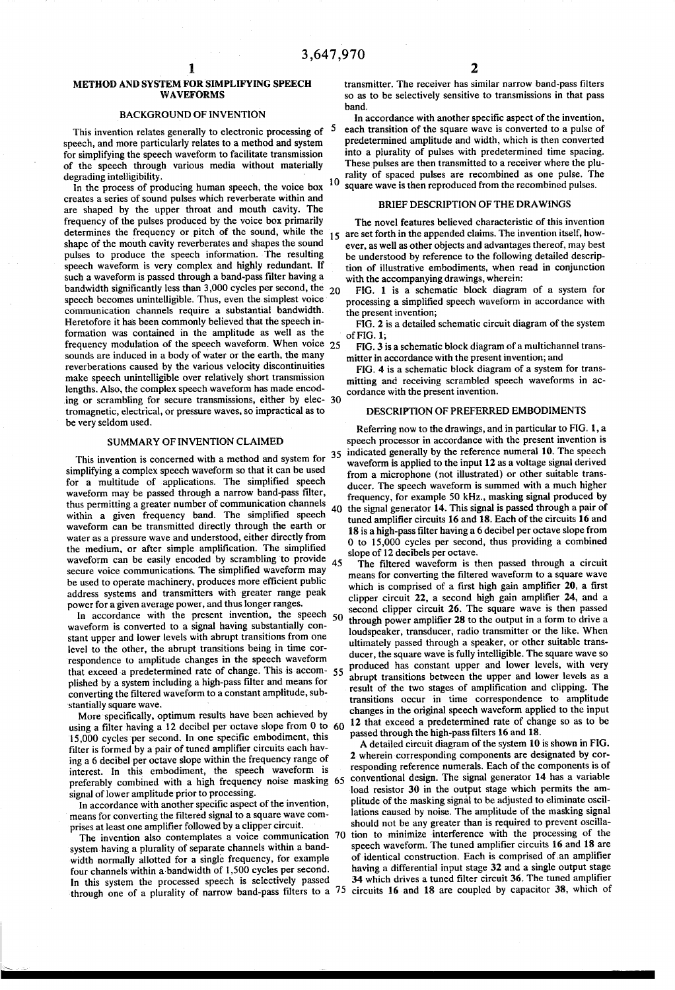#### METHOD AND SYSTEM FOR SIMPLIFYING SPEECH WAVEFORMS

#### BACKGROUND OF INVENTION

This invention relates generally to electronic processing of speech, and more particularly relates to a method and system for simplifying the speech waveform to facilitate transmission of the speech through various media without materially degrading intelligibility.

In the process of producing human speech, the voice box creates a series of sound pulses which reverberate within and are shaped by the upper throat and mouth cavity. The frequency of the pulses produced by the voice box primarily determines the frequency or pitch of the sound, while the shape of the mouth cavity reverberates and shapes the sound pulses to produce the speech information. The resulting speech waveform is very complex and highly redundant. If such a waveform is passed through a band-pass filter having a  $b$ andwidth significantly less than  $3,000$  cycles per second, the  $20$ speech becomes unintelligible. Thus, even the simplest voice communication channels require a substantial bandwidth. Heretofore it has been commonly believed that the speech in formation was contained in the amplitude as well as the frequency modulation of the speech waveform. When voice 25 sounds are induced in a body of water or the earth, the many reverberations caused by the various velocity discontinuities make speech unintelligible over relatively short transmission lengths. Also, the complex speech waveform has made encod ing or scrambling for secure transmissions, either by elec- 30 tromagnetic, electrical, or pressure waves, so impractical as to be very seldom used.

#### SUMMARY OF INVENTION CLAIMED

This invention is concerned with a method and system for  $35$ simplifying a complex speech waveform so that it can be used<br>for a multitude of applications. The simplified speech waveform may be passed through a narrow band-pass filter, thus permitting a greater number of communication channels within a given frequency band. The simplified speech waveform can be transmitted directly through the earth or water as a pressure wave and understood, either directly from<br>the medium, or after simple amplification. The simplified waveform can be easily encoded by scrambling to provide secure voice communications. The simplified waveform may be used to operate machinery, produces more efficient public address systems and transmitters with greater range peak power for a given average power, and thus longer ranges.

waveform is converted to a signal having substantially constant upper and lower levels with abrupt transitions from one level to the other, the abrupt transitions being in time cor respondence to amplitude changes in the speech waveform that exceed a predetermined rate of change. This is accom- 55 plished by a system including a high-pass filter and means for converting the filtered waveform to a constant amplitude, sub stantially square wave.<br>More specifically, optimum results have been achieved by

More specifically, optimum results have been achieved by using a filter having a 12 decibel per octave slope from 0 to 60 15,000 cycles per second. In one specific embodiment, this filter is formed by a pair of tuned amplifier circuits each hav ing a 6 decibel per octave slope within the frequency range of interest. In this embodiment, the speech waveform is signal of lower amplitude prior to processing. preferably combined with a high frequency noise masking 65

In accordance with another specific aspect of the invention, means for converting the filtered signal to a square wave com prises at least one amplifier followed by a clipper circuit.

The invention also contemplates a voice communication 70 system having a plurality of separate channels within a band width normally allotted for a single frequency, for example four channels within a bandwidth of 1,500 cycles per second.<br>In this system the processed speech is selectively passed In this system the processed speech is selectively passed  $34$  which drives a tuned filter circuit 36. The tuned amplifier<br>through one of a plurality of narrow band-pass filters to a 75 circuits 16 and 18 are coupled by c

5 O in accordance with another specific aspect of the invention, each transition of the square wave is converted to a pulse of predetermined amplitude and width, which is then converted into a plurality of pulses with predetermined time spacing. rality of spaced pulses are recombined as one pulse. The square wave is then reproduced from the recombined pulses.

#### BRIEF DESCRIPTION OF THE DRAWINGS

15 are set forth in the appended claims. The invention itself, how The novel features believed characteristic of this invention ever, as well as other objects and advantages thereof, may best tion of illustrative embodiments, when read in conjunction with the accompanying drawings, wherein:

FIG. 1 is a schematic block diagram of a system for processing a simplified speech waveform in accordance with the present invention;

FIG. 2 is a detailed schematic circuit diagram of the system of FIG. 1;

FIG. 3 is a schematic block diagram of a multichannel trans mitter in accordance with the present invention; and

FIG. 4 is a schematic block diagram of a system for trans mitting and receiving scrambled speech waveforms in ac cordance with the present invention.

#### DESCRIPTION OF PREFERRED EMBODIMENTS

ducer. The speech waveform is summed with a much higher<br>frequency, for example 50 kHz., masking signal produced by<br>40 the signal generator 14. This signal is passed through a pair of 45 Referring now to the drawings, and in particular to FIG. 1, a speech processor in accordance with the present invention is indicated generally by the reference numeral 10. The speech waveform is applied to the input 12 as a voltage signal derived from a microphone (not illustrated) or other suitable trans-<br>ducer. The speech waveform is summed with a much higher tuned amplifier circuits 16 and 18. Each of the circuits 16 and 18 is a high-pass filter having a 6 decibel per octave slope from 0 to 15,000 cycles per second, thus providing a combined slope of 12 decibels per octave.

of the speech of the speech second clipper circuit 26. The square wave is then passed<br>In accordance with the present invention, the speech 50 theoret newer emplifies 28 to the output in a form to drive a The filtered waveform is then passed through a circuit means for converting the filtered waveform to a square wave which is comprised of a first high gain amplifier 20, a first clipper circuit 22, a second high gain amplifier 24, and a through power amplifier 28 to the output in a form to drive a loudspeaker, transducer, radio transmitter or the like. When ultimately passed through a speaker, or other suitable trans ducer, the square wave is fully intelligible. The square wave so produced has constant upper and lower levels, with very abrupt transitions between the upper and lower levels as a result of the two stages of amplification and clipping. The changes in the original speech waveform applied to the input 12 that exceed a predetermined rate of change so as to be passed through the high-pass filters 16 and 18.

A detailed circuit diagram of the system 10 is shown in FIG. 2 wherein corresponding components are designated by cor responding reference numerals. Each of the components is of conventional design. The signal generator 14 has a variable load resistor 30 in the output stage which permits the am plitude of the masking signal to be adjusted to eliminate oscillations caused by noise. The amplitude of the masking signal should not be any greater than is required to prevent oscillation to minimize interference with the processing of the speech waveform. The tuned amplifier circuits 16 and 18 are of identical construction. Each is comprised of an amplifier having a differential input stage 32 and a single output stage 34 which drives a tuned filter circuit 36. The tuned amplifier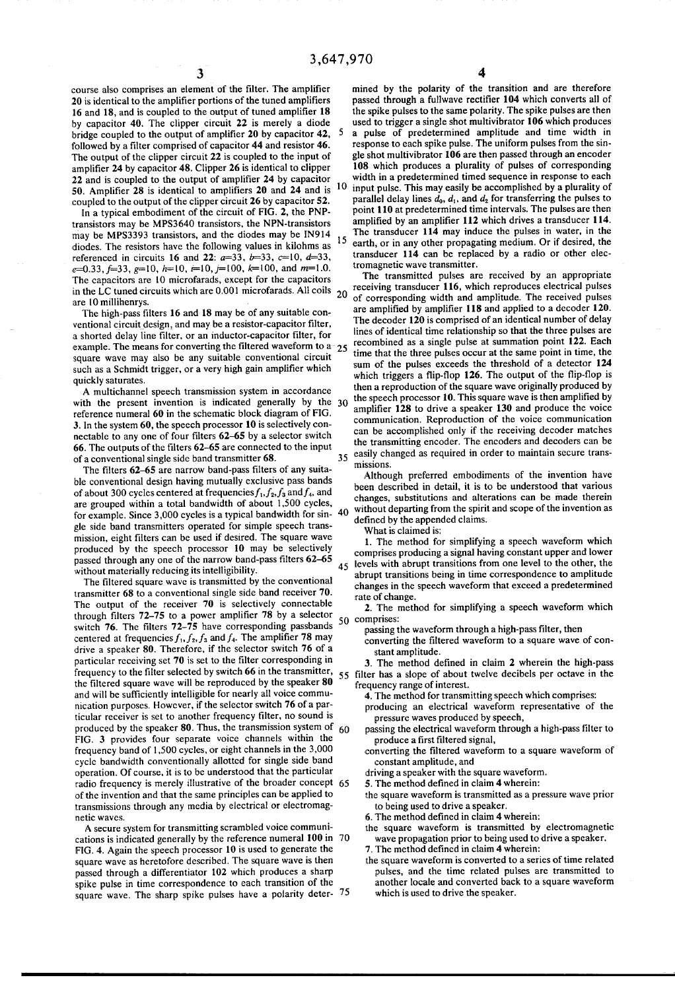course also comprises an element of the filter. The amplifier 20 is identical to the amplifier portions of the tuned amplifiers 16 and 18, and is coupled to the output of tuned amplifier 18 by capacitor 40. The clipper circuit 22 is merely a diode bridge coupled to the output of amplifier 20 by capacitor 42, followed by a filter comprised of capacitor 44 and resistor 46. The output of the clipper circuit 22 is coupled to the input of amplifier 24 by capacitor 48. Clipper 26 is identical to clipper 22 and is coupled to the output of amplifier 24 by capacitor 50. Amplifier 28 is identical to amplifiers 20 and 24 and is  $10$ coupled to the output of the clipper circuit 26 by capacitor 52.

In a typical embodiment of the circuit of FIG. 2, the PNP transistors may be MPS3640 transistors, the NPN-transistors may be MPS3393 transistors, and the diodes may be IN914 diodes. The resistors have the following values in kilohms as referenced in circuits 16 and 22:  $a=33$ ,  $b=33$ ,  $c=10$ ,  $d=33$ ,  $e=0.33, f=33, g=10, h=10, r=10, j=100, k=100, and m=1.0.$ The capacitors are 10 microfarads, except for the capacitors in the LC tuned circuits which are 0.001 microfarads. All coils are 10 millihenrys. 5

The high-pass filters 16 and 18 may be of any suitable con ventional circuit design, and may be a resistor-capacitor filter, a shorted delay line filter, or an inductor-capacitor filter, for example. The means for converting the filtered waveform to  $a_{25}$ square wave may also be any suitable conventional circuit such as a Schmidt trigger, or a very high gain amplifier which quickly saturates.

A multichannel speech transmission system in accordance with the present invention is indicated generally by the 30 reference numeral 60 in the schematic block diagram of FIG. 3. In the system 60, the speech processor 10 is selectively con nectable to any one of four filters 62-65 by a selector switch 66. The outputs of the filters 62-65 are connected to the input of a conventional single side band transmitter 68. 35

The filters 62-65 are narrow band-pass filters of any suita ble conventional design having mutually exclusive pass bands of about 300 cycles centered at frequencies  $f_1, f_2, f_3$  and  $f_4$ , and are grouped within a total bandwidth of about 1,500 cycles, are grouped within a total bandwidth of about 1,500 cycles, for example. Since 3,000 cycles is a typical bandwidth for sin- 40 gle side band transmitters operated for simple speech trans mission, eight filters can be used if desired. The square wave produced by the speech processor 10 may be selectively passed through any one of the narrow band-pass filters 62-65 without materially reducing its intelligibility.

The filtered square wave is transmitted by the conventional transmitter 68 to a conventional single side band receiver 70. The output of the receiver 70 is selectively connectable through filters  $72-75$  to a power amplifier  $78$  by a selector switch  $76$ . The filters  $72-75$  have corresponding passbands centered at frequencies  $f_1, f_2, f_3$  and  $f_4$ . The amplifier 78 may drive a speaker 80. Therefore, if the selector switch 76 of a particular receiving set 70 is set to the filter corresponding in frequency to the filter selected by switch 66 in the transmitter, the filtered square wave will be reproduced by the speaker 80 and will be sufficiently intelligible for nearly all voice commu-<br>nication purposes. However, if the selector switch 76 of a particular receiver is set to another frequency filter, no sound is produced by the speaker 80. Thus, the transmission system of FIG. 3 provides four separate voice channels within the frequency band of 1,500 cycles, or eight channels in the 3,000 cycle bandwidth conventionally allotted for single side band<br>operation. Of course, it is to be understood that the particular operation. Of course, it is to be understood that the particular radio frequency is merely illustrative of the broader concept of the invention and that the same principles can be applied to transmissions through any media by electrical or electromag netic waves. 55 60 65

A secure system for transmitting scrambled voice communi cations is indicated generally by the reference numeral 100 in 70 FIG. 4. Again the speech processor 10 is used to generate the square wave as heretofore described. The square wave is then<br>passed through a differentiator 102 which produces a sharp spike pulse in time correspondence to each transition of the square wave. The sharp spike pulses have a polarity deter- 75

mined by the polarity of the transition and are therefore passed through a fullwave rectifier 104 which converts all of the spike pulses to the same polarity. The spike pulses are then used to trigger a single shot multivibrator 106 which produces<br>a pulse of predetermined amplitude and time width in pulse of predetermined amplitude and time width in response to each spike pulse. The uniform pulses from the sin gle shot multivibrator 106 are then passed through an encoder 108 which produces a plurality of pulses of corresponding width in a predetermined timed sequence in response to each input pulse. This may easily be accomplished by a plurality of parallel delay lines  $d_0$ ,  $d_1$ , and  $d_2$  for transferring the pulses to point 110 at predetermined time intervals. The pulses are then amplified by an amplifier 112 which drives a transducer 114. The transducer 114 may induce the pulses in water, in the earth, or in any other propagating medium. Or if desired, the transducer 114 can be replaced by a radio or other elec

20 of corresponding width and amplitude. The received pulses tromagnetic wave transmitter. receiving transducer 116, which reproduces electrical pulses are amplified by amplifier 118 and applied to a decoder 120.<br>The decoder 120 is comprised of an identical number of delay lines of identical time relationship so that the three pulses are recombined as a single pulse at summation point 122. Each time that the three pulses occur at the same point in time, the sum of the pulses exceeds the threshold of a detector 124 which triggers a flip-flop 126. The output of the flip-flop is then a reproduction of the square wave originally produced by the speech processor 10. This square wave is then amplified by amplifier 128 to drive a speaker 130 and produce the voice communication. Reproduction of the voice communication can be accomplished only if the receiving decoder matches the transmitting encoder. The encoders and decoders can be easily changed as required in order to maintain secure trans missions.

Although preferred embodiments of the invention have been described in detail, it is to be understood that various changes, substitutions and alterations can be made therein without departing from the spirit and scope of the invention as defined by the appended claims.

What is claimed is:

45 1. The method for simplifying a speech waveform which comprises producing a signal having constant upper and lower levels with abrupt transitions from one level to the other, the abrupt transitions being in time correspondence to amplitude changes in the speech waveform that exceed a predetermined rate of change.

50 comprises: 2. The method for simplifying a speech waveform which

passing the waveform through a high-pass filter, then

- converting the filtered waveform to a square wave of con
- stant amplitude.<br>3. The method defined in claim 2 wherein the high-pass filter has a slope of about twelve decibels per octave in the

frequency range of interest.<br>4. The method for transmitting speech which comprises:

- producing an electrical waveform representative of the pressure waves produced by speech,
- passing the electrical waveform through a high-pass filter to produce a first filtered signal,
- converting the filtered waveform to a square waveform of constant amplitude, and
- driving a speaker with the square waveform.
- 5. The method defined in claim 4 wherein:
- the square waveform is transmitted as a pressure wave prior to being used to drive a speaker.
- 6. The method defined in claim 4 wherein:
- the square waveform is transmitted by electromagnetic wave propagation prior to being used to drive a speaker.
- 7. The method defined in claim 4 wherein:
- the square waveform is converted to a series of time related pulses, and the time related pulses are transmitted to another locale and converted back to a square waveform which is used to drive the speaker.